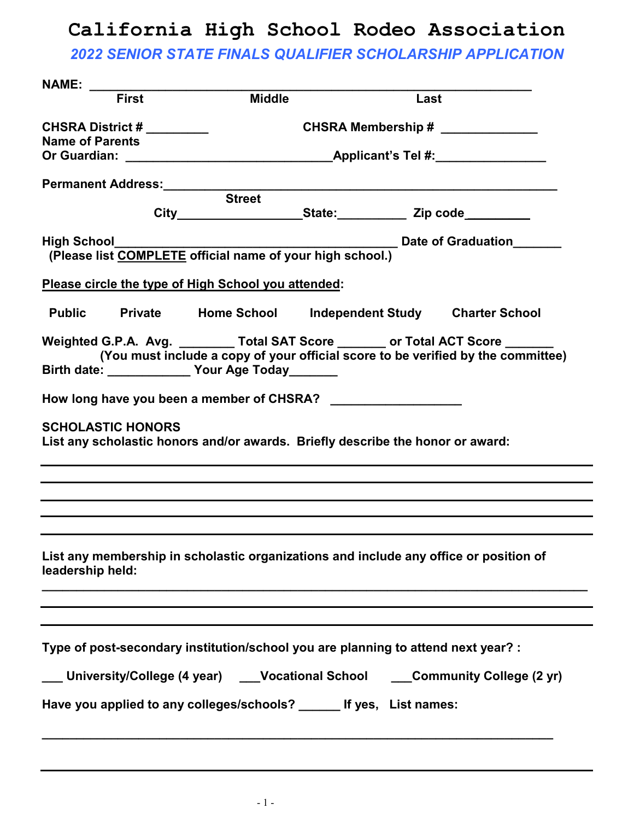### *2022 SENIOR STATE FINALS QUALIFIER SCHOLARSHIP APPLICATION*

| <b>First</b>           | <b>Middle</b>                                        |        | Last                                                                                                     |                                                                                                                                                                                                                                                                                                                                                                                                                                                                                                                                                                                                                                                                                                                                |
|------------------------|------------------------------------------------------|--------|----------------------------------------------------------------------------------------------------------|--------------------------------------------------------------------------------------------------------------------------------------------------------------------------------------------------------------------------------------------------------------------------------------------------------------------------------------------------------------------------------------------------------------------------------------------------------------------------------------------------------------------------------------------------------------------------------------------------------------------------------------------------------------------------------------------------------------------------------|
|                        |                                                      |        |                                                                                                          |                                                                                                                                                                                                                                                                                                                                                                                                                                                                                                                                                                                                                                                                                                                                |
|                        | CHSRA District #<br>CHSRA Membership # _____________ |        |                                                                                                          |                                                                                                                                                                                                                                                                                                                                                                                                                                                                                                                                                                                                                                                                                                                                |
| <b>Name of Parents</b> |                                                      |        |                                                                                                          |                                                                                                                                                                                                                                                                                                                                                                                                                                                                                                                                                                                                                                                                                                                                |
|                        |                                                      |        |                                                                                                          |                                                                                                                                                                                                                                                                                                                                                                                                                                                                                                                                                                                                                                                                                                                                |
|                        |                                                      |        |                                                                                                          |                                                                                                                                                                                                                                                                                                                                                                                                                                                                                                                                                                                                                                                                                                                                |
|                        |                                                      |        |                                                                                                          |                                                                                                                                                                                                                                                                                                                                                                                                                                                                                                                                                                                                                                                                                                                                |
|                        |                                                      |        |                                                                                                          |                                                                                                                                                                                                                                                                                                                                                                                                                                                                                                                                                                                                                                                                                                                                |
|                        |                                                      |        |                                                                                                          |                                                                                                                                                                                                                                                                                                                                                                                                                                                                                                                                                                                                                                                                                                                                |
|                        |                                                      |        |                                                                                                          |                                                                                                                                                                                                                                                                                                                                                                                                                                                                                                                                                                                                                                                                                                                                |
|                        |                                                      |        |                                                                                                          |                                                                                                                                                                                                                                                                                                                                                                                                                                                                                                                                                                                                                                                                                                                                |
|                        |                                                      |        |                                                                                                          |                                                                                                                                                                                                                                                                                                                                                                                                                                                                                                                                                                                                                                                                                                                                |
|                        |                                                      |        |                                                                                                          |                                                                                                                                                                                                                                                                                                                                                                                                                                                                                                                                                                                                                                                                                                                                |
|                        |                                                      |        |                                                                                                          |                                                                                                                                                                                                                                                                                                                                                                                                                                                                                                                                                                                                                                                                                                                                |
|                        |                                                      |        |                                                                                                          |                                                                                                                                                                                                                                                                                                                                                                                                                                                                                                                                                                                                                                                                                                                                |
|                        |                                                      |        |                                                                                                          |                                                                                                                                                                                                                                                                                                                                                                                                                                                                                                                                                                                                                                                                                                                                |
|                        |                                                      |        |                                                                                                          |                                                                                                                                                                                                                                                                                                                                                                                                                                                                                                                                                                                                                                                                                                                                |
|                        |                                                      |        |                                                                                                          |                                                                                                                                                                                                                                                                                                                                                                                                                                                                                                                                                                                                                                                                                                                                |
|                        |                                                      |        |                                                                                                          |                                                                                                                                                                                                                                                                                                                                                                                                                                                                                                                                                                                                                                                                                                                                |
|                        |                                                      |        |                                                                                                          |                                                                                                                                                                                                                                                                                                                                                                                                                                                                                                                                                                                                                                                                                                                                |
|                        |                                                      |        |                                                                                                          |                                                                                                                                                                                                                                                                                                                                                                                                                                                                                                                                                                                                                                                                                                                                |
|                        |                                                      |        |                                                                                                          |                                                                                                                                                                                                                                                                                                                                                                                                                                                                                                                                                                                                                                                                                                                                |
|                        |                                                      |        |                                                                                                          |                                                                                                                                                                                                                                                                                                                                                                                                                                                                                                                                                                                                                                                                                                                                |
|                        | <b>SCHOLASTIC HONORS</b><br>leadership held:         | Street | Please circle the type of High School you attended:<br>Birth date: _______________ Your Age Today_______ | (Please list COMPLETE official name of your high school.)<br><b>Private Home School Independent Study Charter School</b><br>Weighted G.P.A. Avg. _________ Total SAT Score _______ or Total ACT Score ______<br>(You must include a copy of your official score to be verified by the committee)<br>List any scholastic honors and/or awards. Briefly describe the honor or award:<br>List any membership in scholastic organizations and include any office or position of<br>Type of post-secondary institution/school you are planning to attend next year? :<br>___ University/College (4 year)  ___Vocational School  ___Community College (2 yr)<br>Have you applied to any colleges/schools? ______ If yes, List names: |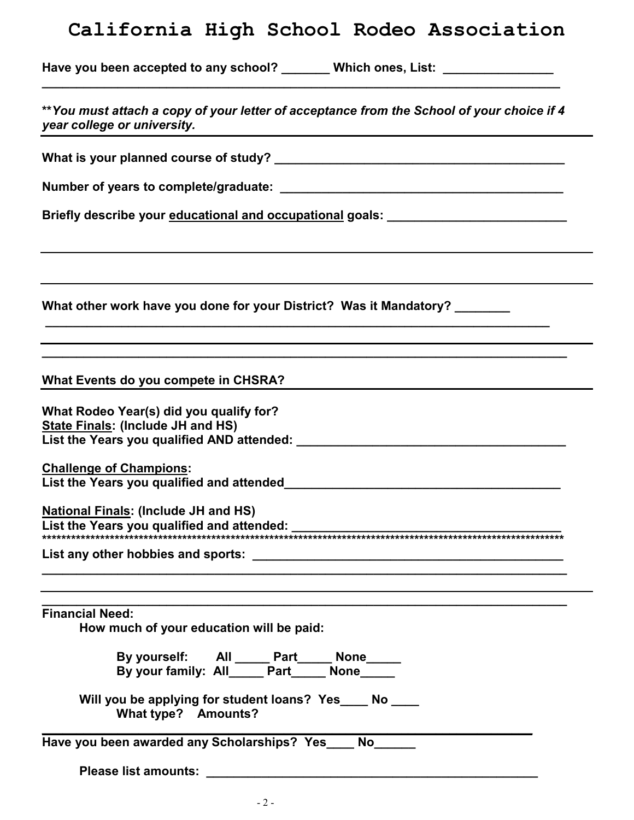| Have you been accepted to any school? | <b>Which ones, List:</b> |  |
|---------------------------------------|--------------------------|--|
|                                       |                          |  |

| ** You must attach a copy of your letter of acceptance from the School of your choice if 4<br>year college or university.                                |
|----------------------------------------------------------------------------------------------------------------------------------------------------------|
|                                                                                                                                                          |
|                                                                                                                                                          |
| Briefly describe your educational and occupational goals: ______________________                                                                         |
| What other work have you done for your District? Was it Mandatory?                                                                                       |
| and the control of the control of the control of the control of the control of the control of the control of the<br>What Events do you compete in CHSRA? |
| What Rodeo Year(s) did you qualify for?<br>State Finals: (Include JH and HS)                                                                             |
| <b>Challenge of Champions:</b>                                                                                                                           |
| <b>National Finals: (Include JH and HS)</b>                                                                                                              |
|                                                                                                                                                          |
| <b>Financial Need:</b><br>How much of your education will be paid:                                                                                       |
| By yourself: All _____ Part_____ None_____<br>By your family: All_____ Part____ None____                                                                 |
| Will you be applying for student loans? Yes____ No ___<br>What type? Amounts?                                                                            |
| Have you been awarded any Scholarships? Yes____ No_____                                                                                                  |
|                                                                                                                                                          |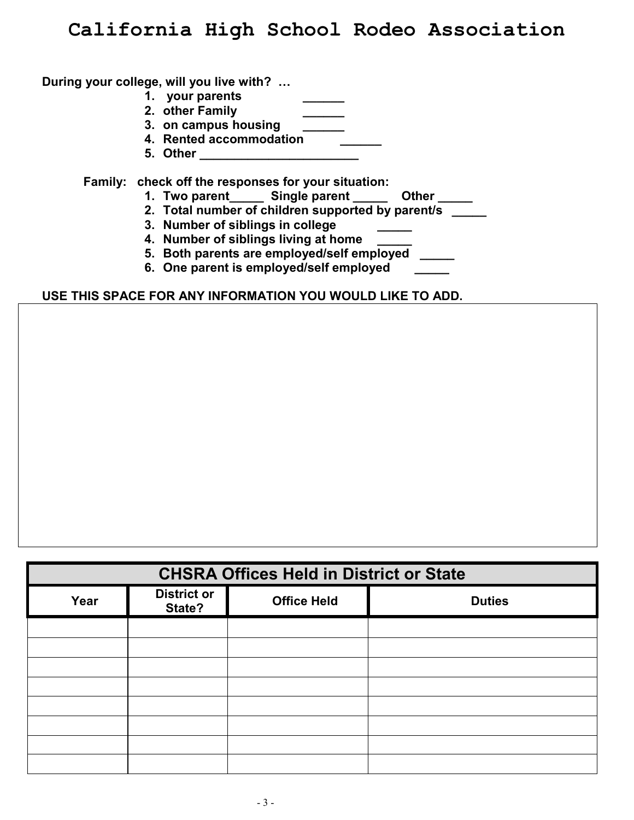#### **During your college, will you live with? …**

- 1. your parents
- **2. other Family \_\_\_\_\_\_**
- **3. on campus housing \_\_\_\_\_\_**
- **4. Rented accommodation \_\_\_\_\_\_**
- **5. Other \_\_\_\_\_\_\_\_\_\_\_\_\_\_\_\_\_\_\_\_\_\_\_**

 **Family: check off the responses for your situation:**

- **1. Two parent\_\_\_\_\_ Single parent \_\_\_\_\_ Other \_\_\_\_\_**
- **2. Total number of children supported by parent/s \_\_\_\_\_**
- **3. Number of siblings in college \_\_\_\_\_**
- **4. Number of siblings living at home \_\_\_\_\_**
- **5. Both parents are employed/self employed \_\_\_\_\_**
- **6. One parent is employed/self employed \_\_\_\_\_**

#### **USE THIS SPACE FOR ANY INFORMATION YOU WOULD LIKE TO ADD.**

| <b>CHSRA Offices Held in District or State</b> |                              |                    |               |
|------------------------------------------------|------------------------------|--------------------|---------------|
| Year                                           | <b>District or</b><br>State? | <b>Office Held</b> | <b>Duties</b> |
|                                                |                              |                    |               |
|                                                |                              |                    |               |
|                                                |                              |                    |               |
|                                                |                              |                    |               |
|                                                |                              |                    |               |
|                                                |                              |                    |               |
|                                                |                              |                    |               |
|                                                |                              |                    |               |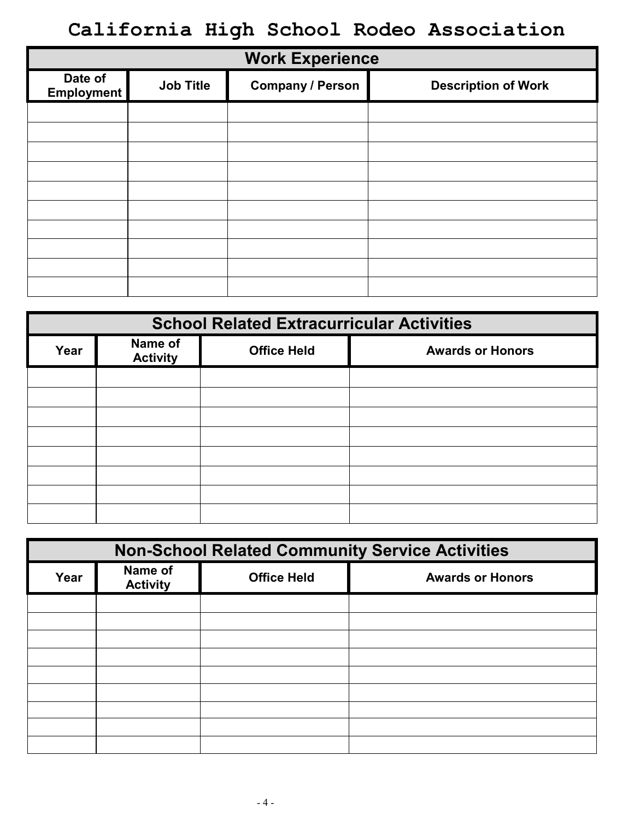| <b>Work Experience</b>       |                  |                         |                            |
|------------------------------|------------------|-------------------------|----------------------------|
| Date of<br><b>Employment</b> | <b>Job Title</b> | <b>Company / Person</b> | <b>Description of Work</b> |
|                              |                  |                         |                            |
|                              |                  |                         |                            |
|                              |                  |                         |                            |
|                              |                  |                         |                            |
|                              |                  |                         |                            |
|                              |                  |                         |                            |
|                              |                  |                         |                            |
|                              |                  |                         |                            |
|                              |                  |                         |                            |
|                              |                  |                         |                            |

| <b>School Related Extracurricular Activities</b> |                            |                    |                         |
|--------------------------------------------------|----------------------------|--------------------|-------------------------|
| Year                                             | Name of<br><b>Activity</b> | <b>Office Held</b> | <b>Awards or Honors</b> |
|                                                  |                            |                    |                         |
|                                                  |                            |                    |                         |
|                                                  |                            |                    |                         |
|                                                  |                            |                    |                         |
|                                                  |                            |                    |                         |
|                                                  |                            |                    |                         |
|                                                  |                            |                    |                         |
|                                                  |                            |                    |                         |

| <b>Non-School Related Community Service Activities</b> |                            |                    |                         |
|--------------------------------------------------------|----------------------------|--------------------|-------------------------|
| Year                                                   | Name of<br><b>Activity</b> | <b>Office Held</b> | <b>Awards or Honors</b> |
|                                                        |                            |                    |                         |
|                                                        |                            |                    |                         |
|                                                        |                            |                    |                         |
|                                                        |                            |                    |                         |
|                                                        |                            |                    |                         |
|                                                        |                            |                    |                         |
|                                                        |                            |                    |                         |
|                                                        |                            |                    |                         |
|                                                        |                            |                    |                         |